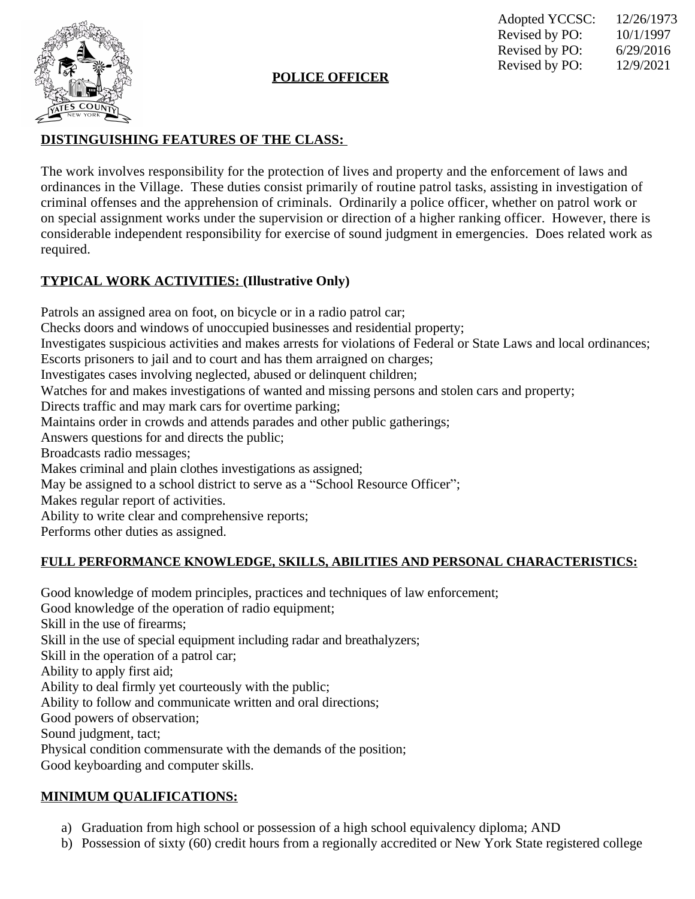

#### **POLICE OFFICER**

Adopted YCCSC: 12/26/1973 Revised by PO:  $10/1/1997$ <br>Revised by PO:  $6/29/2016$ Revised by PO: Revised by PO: 12/9/2021

### **DISTINGUISHING FEATURES OF THE CLASS:**

The work involves responsibility for the protection of lives and property and the enforcement of laws and ordinances in the Village. These duties consist primarily of routine patrol tasks, assisting in investigation of criminal offenses and the apprehension of criminals. Ordinarily a police officer, whether on patrol work or on special assignment works under the supervision or direction of a higher ranking officer. However, there is considerable independent responsibility for exercise of sound judgment in emergencies. Does related work as required.

## **TYPICAL WORK ACTIVITIES: (Illustrative Only)**

Patrols an assigned area on foot, on bicycle or in a radio patrol car; Checks doors and windows of unoccupied businesses and residential property; Investigates suspicious activities and makes arrests for violations of Federal or State Laws and local ordinances; Escorts prisoners to jail and to court and has them arraigned on charges; Investigates cases involving neglected, abused or delinquent children; Watches for and makes investigations of wanted and missing persons and stolen cars and property; Directs traffic and may mark cars for overtime parking; Maintains order in crowds and attends parades and other public gatherings; Answers questions for and directs the public; Broadcasts radio messages; Makes criminal and plain clothes investigations as assigned; May be assigned to a school district to serve as a "School Resource Officer"; Makes regular report of activities. Ability to write clear and comprehensive reports; Performs other duties as assigned.

#### **FULL PERFORMANCE KNOWLEDGE, SKILLS, ABILITIES AND PERSONAL CHARACTERISTICS:**

Good knowledge of modem principles, practices and techniques of law enforcement; Good knowledge of the operation of radio equipment; Skill in the use of firearms; Skill in the use of special equipment including radar and breathalyzers; Skill in the operation of a patrol car; Ability to apply first aid; Ability to deal firmly yet courteously with the public; Ability to follow and communicate written and oral directions; Good powers of observation; Sound judgment, tact; Physical condition commensurate with the demands of the position; Good keyboarding and computer skills.

#### **MINIMUM QUALIFICATIONS:**

- a) Graduation from high school or possession of a high school equivalency diploma; AND
- b) Possession of sixty (60) credit hours from a regionally accredited or New York State registered college